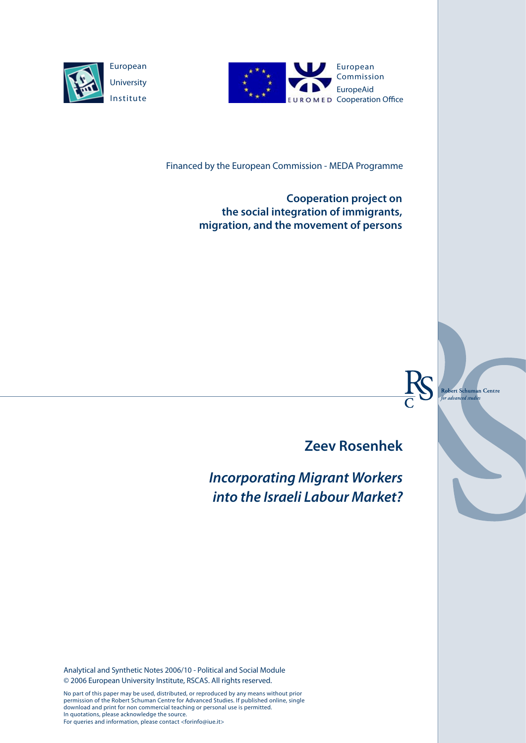



Financed by the European Commission - MEDA Programme

**Cooperation project on the social integration of immigrants, migration, and the movement of persons**



**Zeev Rosenhek**

*Incorporating Migrant Workers into the Israeli Labour Market?*

Analytical and Synthetic Notes 2006/10 - Political and Social Module © 2006 European University Institute, RSCAS. All rights reserved.

No part of this paper may be used, distributed, or reproduced by any means without prior permission of the Robert Schuman Centre for Advanced Studies. If published online, single download and print for non commercial teaching or personal use is permitted. In quotations, please acknowledge the source. For queries and information, please contact <forinfo@iue.it>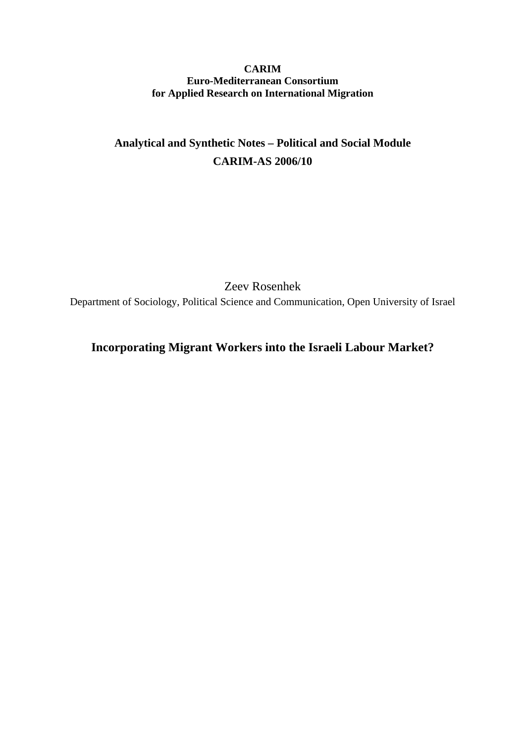### **CARIM Euro-Mediterranean Consortium for Applied Research on International Migration**

# **Analytical and Synthetic Notes – Political and Social Module CARIM-AS 2006/10**

Zeev Rosenhek

Department of Sociology, Political Science and Communication, Open University of Israel

## **Incorporating Migrant Workers into the Israeli Labour Market?**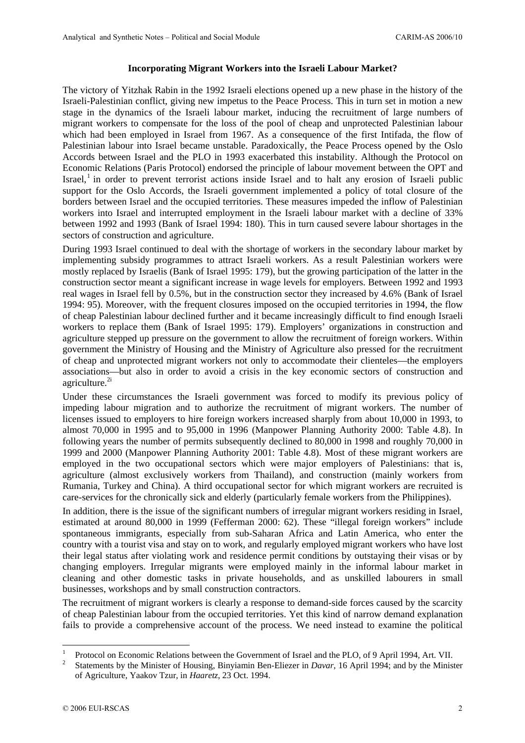#### **Incorporating Migrant Workers into the Israeli Labour Market?**

The victory of Yitzhak Rabin in the 1992 Israeli elections opened up a new phase in the history of the Israeli-Palestinian conflict, giving new impetus to the Peace Process. This in turn set in motion a new stage in the dynamics of the Israeli labour market, inducing the recruitment of large numbers of migrant workers to compensate for the loss of the pool of cheap and unprotected Palestinian labour which had been employed in Israel from 1967. As a consequence of the first Intifada, the flow of Palestinian labour into Israel became unstable. Paradoxically, the Peace Process opened by the Oslo Accords between Israel and the PLO in 1993 exacerbated this instability. Although the Protocol on Economic Relations (Paris Protocol) endorsed the principle of labour movement between the OPT and Israel,<sup>1</sup> in order to prevent terrorist actions inside Israel and to halt any erosion of Israeli public support for the Oslo Accords, the Israeli government implemented a policy of total closure of the borders between Israel and the occupied territories. These measures impeded the inflow of Palestinian workers into Israel and interrupted employment in the Israeli labour market with a decline of 33% between 1992 and 1993 (Bank of Israel 1994: 180). This in turn caused severe labour shortages in the sectors of construction and agriculture.

During 1993 Israel continued to deal with the shortage of workers in the secondary labour market by implementing subsidy programmes to attract Israeli workers. As a result Palestinian workers were mostly replaced by Israelis (Bank of Israel 1995: 179), but the growing participation of the latter in the construction sector meant a significant increase in wage levels for employers. Between 1992 and 1993 real wages in Israel fell by 0.5%, but in the construction sector they increased by 4.6% (Bank of Israel 1994: 95). Moreover, with the frequent closures imposed on the occupied territories in 1994, the flow of cheap Palestinian labour declined further and it became increasingly difficult to find enough Israeli workers to replace them (Bank of Israel 1995: 179). Employers' organizations in construction and agriculture stepped up pressure on the government to allow the recruitment of foreign workers. Within government the Ministry of Housing and the Ministry of Agriculture also pressed for the recruitment of cheap and unprotected migrant workers not only to accommodate their clienteles—the employers associations—but also in order to avoid a crisis in the key economic sectors of construction and agriculture.<sup>2i</sup>

Under these circumstances the Israeli government was forced to modify its previous policy of impeding labour migration and to authorize the recruitment of migrant workers. The number of licenses issued to employers to hire foreign workers increased sharply from about 10,000 in 1993, to almost 70,000 in 1995 and to 95,000 in 1996 (Manpower Planning Authority 2000: Table 4.8). In following years the number of permits subsequently declined to 80,000 in 1998 and roughly 70,000 in 1999 and 2000 (Manpower Planning Authority 2001: Table 4.8). Most of these migrant workers are employed in the two occupational sectors which were major employers of Palestinians: that is, agriculture (almost exclusively workers from Thailand), and construction (mainly workers from Rumania, Turkey and China). A third occupational sector for which migrant workers are recruited is care-services for the chronically sick and elderly (particularly female workers from the Philippines).

In addition, there is the issue of the significant numbers of irregular migrant workers residing in Israel, estimated at around 80,000 in 1999 (Fefferman 2000: 62). These "illegal foreign workers" include spontaneous immigrants, especially from sub-Saharan Africa and Latin America, who enter the country with a tourist visa and stay on to work, and regularly employed migrant workers who have lost their legal status after violating work and residence permit conditions by outstaying their visas or by changing employers. Irregular migrants were employed mainly in the informal labour market in cleaning and other domestic tasks in private households, and as unskilled labourers in small businesses, workshops and by small construction contractors.

The recruitment of migrant workers is clearly a response to demand-side forces caused by the scarcity of cheap Palestinian labour from the occupied territories. Yet this kind of narrow demand explanation fails to provide a comprehensive account of the process. We need instead to examine the political

 $\overline{a}$ 

<sup>1</sup> Protocol on Economic Relations between the Government of Israel and the PLO, of 9 April 1994, Art. VII.

<sup>2</sup> Statements by the Minister of Housing, Binyiamin Ben-Eliezer in *Davar*, 16 April 1994; and by the Minister of Agriculture, Yaakov Tzur, in *Haaretz*, 23 Oct. 1994.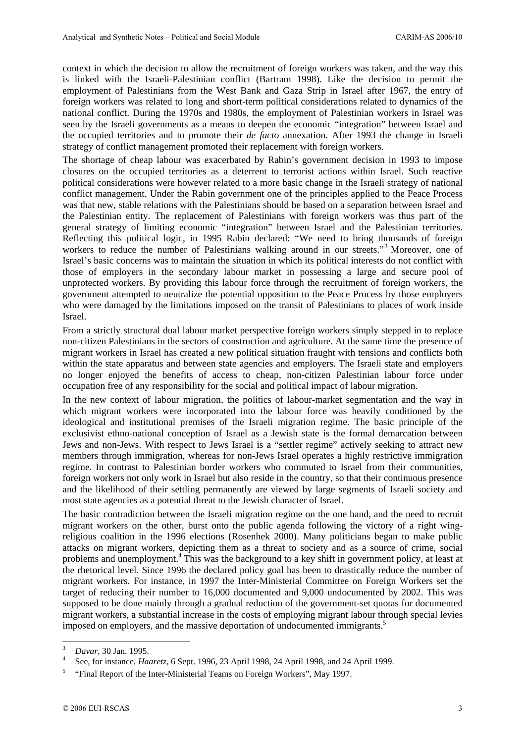context in which the decision to allow the recruitment of foreign workers was taken, and the way this is linked with the Israeli-Palestinian conflict (Bartram 1998). Like the decision to permit the employment of Palestinians from the West Bank and Gaza Strip in Israel after 1967, the entry of foreign workers was related to long and short-term political considerations related to dynamics of the national conflict. During the 1970s and 1980s, the employment of Palestinian workers in Israel was seen by the Israeli governments as a means to deepen the economic "integration" between Israel and the occupied territories and to promote their *de facto* annexation. After 1993 the change in Israeli strategy of conflict management promoted their replacement with foreign workers.

The shortage of cheap labour was exacerbated by Rabin's government decision in 1993 to impose closures on the occupied territories as a deterrent to terrorist actions within Israel. Such reactive political considerations were however related to a more basic change in the Israeli strategy of national conflict management. Under the Rabin government one of the principles applied to the Peace Process was that new, stable relations with the Palestinians should be based on a separation between Israel and the Palestinian entity. The replacement of Palestinians with foreign workers was thus part of the general strategy of limiting economic "integration" between Israel and the Palestinian territories. Reflecting this political logic, in 1995 Rabin declared: "We need to bring thousands of foreign workers to reduce the number of Palestinians walking around in our streets."<sup>3</sup> Moreover, one of Israel's basic concerns was to maintain the situation in which its political interests do not conflict with those of employers in the secondary labour market in possessing a large and secure pool of unprotected workers. By providing this labour force through the recruitment of foreign workers, the government attempted to neutralize the potential opposition to the Peace Process by those employers who were damaged by the limitations imposed on the transit of Palestinians to places of work inside Israel.

From a strictly structural dual labour market perspective foreign workers simply stepped in to replace non-citizen Palestinians in the sectors of construction and agriculture. At the same time the presence of migrant workers in Israel has created a new political situation fraught with tensions and conflicts both within the state apparatus and between state agencies and employers. The Israeli state and employers no longer enjoyed the benefits of access to cheap, non-citizen Palestinian labour force under occupation free of any responsibility for the social and political impact of labour migration.

In the new context of labour migration, the politics of labour-market segmentation and the way in which migrant workers were incorporated into the labour force was heavily conditioned by the ideological and institutional premises of the Israeli migration regime. The basic principle of the exclusivist ethno-national conception of Israel as a Jewish state is the formal demarcation between Jews and non-Jews. With respect to Jews Israel is a "settler regime" actively seeking to attract new members through immigration, whereas for non-Jews Israel operates a highly restrictive immigration regime. In contrast to Palestinian border workers who commuted to Israel from their communities, foreign workers not only work in Israel but also reside in the country, so that their continuous presence and the likelihood of their settling permanently are viewed by large segments of Israeli society and most state agencies as a potential threat to the Jewish character of Israel.

The basic contradiction between the Israeli migration regime on the one hand, and the need to recruit migrant workers on the other, burst onto the public agenda following the victory of a right wingreligious coalition in the 1996 elections (Rosenhek 2000). Many politicians began to make public attacks on migrant workers, depicting them as a threat to society and as a source of crime, social problems and unemployment.<sup>4</sup> This was the background to a key shift in government policy, at least at the rhetorical level. Since 1996 the declared policy goal has been to drastically reduce the number of migrant workers. For instance, in 1997 the Inter-Ministerial Committee on Foreign Workers set the target of reducing their number to 16,000 documented and 9,000 undocumented by 2002. This was supposed to be done mainly through a gradual reduction of the government-set quotas for documented migrant workers, a substantial increase in the costs of employing migrant labour through special levies imposed on employers, and the massive deportation of undocumented immigrants.<sup>5</sup>

<sup>&</sup>lt;sup>2</sup><br>3 *Davar,* 30 Jan. 1995. 4

See, for instance, *Haaretz*, 6 Sept. 1996, 23 April 1998, 24 April 1998, and 24 April 1999.

 <sup>&</sup>quot;Final Report of the Inter-Ministerial Teams on Foreign Workers", May 1997.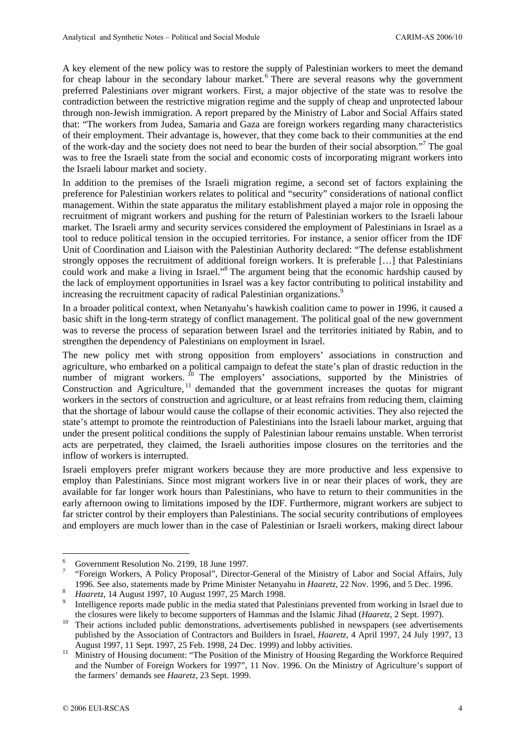A key element of the new policy was to restore the supply of Palestinian workers to meet the demand for cheap labour in the secondary labour market.<sup>6</sup> There are several reasons why the government preferred Palestinians over migrant workers. First, a major objective of the state was to resolve the contradiction between the restrictive migration regime and the supply of cheap and unprotected labour through non-Jewish immigration. A report prepared by the Ministry of Labor and Social Affairs stated that: "The workers from Judea, Samaria and Gaza are foreign workers regarding many characteristics of their employment. Their advantage is, however, that they come back to their communities at the end of the work-day and the society does not need to bear the burden of their social absorption."7 The goal was to free the Israeli state from the social and economic costs of incorporating migrant workers into the Israeli labour market and society.

In addition to the premises of the Israeli migration regime, a second set of factors explaining the preference for Palestinian workers relates to political and "security" considerations of national conflict management. Within the state apparatus the military establishment played a major role in opposing the recruitment of migrant workers and pushing for the return of Palestinian workers to the Israeli labour market. The Israeli army and security services considered the employment of Palestinians in Israel as a tool to reduce political tension in the occupied territories. For instance, a senior officer from the IDF Unit of Coordination and Liaison with the Palestinian Authority declared: "The defense establishment strongly opposes the recruitment of additional foreign workers. It is preferable […] that Palestinians could work and make a living in Israel."8 The argument being that the economic hardship caused by the lack of employment opportunities in Israel was a key factor contributing to political instability and increasing the recruitment capacity of radical Palestinian organizations.<sup>9</sup>

In a broader political context, when Netanyahu's hawkish coalition came to power in 1996, it caused a basic shift in the long-term strategy of conflict management. The political goal of the new government was to reverse the process of separation between Israel and the territories initiated by Rabin, and to strengthen the dependency of Palestinians on employment in Israel.

The new policy met with strong opposition from employers' associations in construction and agriculture, who embarked on a political campaign to defeat the state's plan of drastic reduction in the number of migrant workers.  $^{10}$  The employers' associations, supported by the Ministries of Construction and Agriculture,<sup>11</sup> demanded that the government increases the quotas for migrant workers in the sectors of construction and agriculture, or at least refrains from reducing them, claiming that the shortage of labour would cause the collapse of their economic activities. They also rejected the state's attempt to promote the reintroduction of Palestinians into the Israeli labour market, arguing that under the present political conditions the supply of Palestinian labour remains unstable. When terrorist acts are perpetrated, they claimed, the Israeli authorities impose closures on the territories and the inflow of workers is interrupted.

Israeli employers prefer migrant workers because they are more productive and less expensive to employ than Palestinians. Since most migrant workers live in or near their places of work, they are available for far longer work hours than Palestinians, who have to return to their communities in the early afternoon owing to limitations imposed by the IDF. Furthermore, migrant workers are subject to far stricter control by their employers than Palestinians. The social security contributions of employees and employers are much lower than in the case of Palestinian or Israeli workers, making direct labour

 $\overline{a}$ 

<sup>6</sup> Government Resolution No. 2199, 18 June 1997.

<sup>7</sup> "Foreign Workers, A Policy Proposal", Director-General of the Ministry of Labor and Social Affairs, July 1996. See also, statements made by Prime Minister Netanyahu in *Haaretz*, 22 Nov. 1996, and 5 Dec. 1996. *Haaretz*, 14 August 1997, 10 August 1997, 25 March 1998.

Intelligence reports made public in the media stated that Palestinians prevented from working in Israel due to the closures were likely to become supporters of Hammas and the Islamic Jihad (*Haaretz*, 2 Sept. 1997).<br>Their actions included public demonstrations, advertisements published in newspapers (see advertisements

published by the Association of Contractors and Builders in Israel, *Haaretz*, 4 April 1997, 24 July 1997, 13 August 1997, 11 Sept. 1997, 25 Feb. 1998, 24 Dec. 1999) and lobby activities.<br><sup>11</sup> Ministry of Housing document: "The Position of the Ministry of Housing Regarding the Workforce Required

and the Number of Foreign Workers for 1997", 11 Nov. 1996. On the Ministry of Agriculture's support of the farmers' demands see *Haaretz*, 23 Sept. 1999.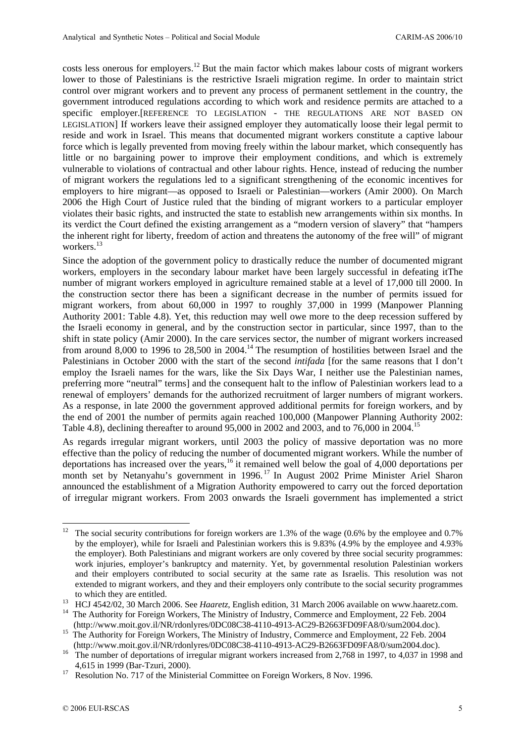costs less onerous for employers.12 But the main factor which makes labour costs of migrant workers lower to those of Palestinians is the restrictive Israeli migration regime. In order to maintain strict control over migrant workers and to prevent any process of permanent settlement in the country, the government introduced regulations according to which work and residence permits are attached to a specific employer.[REFERENCE TO LEGISLATION - THE REGULATIONS ARE NOT BASED ON LEGISLATION] If workers leave their assigned employer they automatically loose their legal permit to reside and work in Israel. This means that documented migrant workers constitute a captive labour force which is legally prevented from moving freely within the labour market, which consequently has little or no bargaining power to improve their employment conditions, and which is extremely vulnerable to violations of contractual and other labour rights. Hence, instead of reducing the number of migrant workers the regulations led to a significant strengthening of the economic incentives for employers to hire migrant—as opposed to Israeli or Palestinian—workers (Amir 2000). On March 2006 the High Court of Justice ruled that the binding of migrant workers to a particular employer violates their basic rights, and instructed the state to establish new arrangements within six months. In its verdict the Court defined the existing arrangement as a "modern version of slavery" that "hampers the inherent right for liberty, freedom of action and threatens the autonomy of the free will" of migrant workers.<sup>13</sup>

Since the adoption of the government policy to drastically reduce the number of documented migrant workers, employers in the secondary labour market have been largely successful in defeating itThe number of migrant workers employed in agriculture remained stable at a level of 17,000 till 2000. In the construction sector there has been a significant decrease in the number of permits issued for migrant workers, from about 60,000 in 1997 to roughly 37,000 in 1999 (Manpower Planning Authority 2001: Table 4.8). Yet, this reduction may well owe more to the deep recession suffered by the Israeli economy in general, and by the construction sector in particular, since 1997, than to the shift in state policy (Amir 2000). In the care services sector, the number of migrant workers increased from around 8,000 to 1996 to 28,500 in 2004.<sup>14</sup> The resumption of hostilities between Israel and the Palestinians in October 2000 with the start of the second *intifada* [for the same reasons that I don't employ the Israeli names for the wars, like the Six Days War, I neither use the Palestinian names, preferring more "neutral" terms] and the consequent halt to the inflow of Palestinian workers lead to a renewal of employers' demands for the authorized recruitment of larger numbers of migrant workers. As a response, in late 2000 the government approved additional permits for foreign workers, and by the end of 2001 the number of permits again reached 100,000 (Manpower Planning Authority 2002: Table 4.8), declining thereafter to around 95,000 in 2002 and 2003, and to 76,000 in 2004.15

As regards irregular migrant workers, until 2003 the policy of massive deportation was no more effective than the policy of reducing the number of documented migrant workers. While the number of deportations has increased over the years,<sup>16</sup> it remained well below the goal of 4,000 deportations per month set by Netanyahu's government in 1996.<sup>17</sup> In August 2002 Prime Minister Ariel Sharon announced the establishment of a Migration Authority empowered to carry out the forced deportation of irregular migrant workers. From 2003 onwards the Israeli government has implemented a strict

<sup>12</sup> The social security contributions for foreign workers are 1.3% of the wage (0.6% by the employee and 0.7%) by the employer), while for Israeli and Palestinian workers this is 9.83% (4.9% by the employee and 4.93% the employer). Both Palestinians and migrant workers are only covered by three social security programmes: work injuries, employer's bankruptcy and maternity. Yet, by governmental resolution Palestinian workers and their employers contributed to social security at the same rate as Israelis. This resolution was not extended to migrant workers, and they and their employers only contribute to the social security programmes

to which they are entitled.<br><sup>13</sup> HCJ 4542/02, 30 March 2006. See *Haaretz*, English edition, 31 March 2006 available on www.haaretz.com.<br><sup>14</sup> The Authority for Foreign Workers, The Ministry of Industry, Commerce and Employ

 <sup>(</sup>http://www.moit.gov.il/NR/rdonlyres/0DC08C38-4110-4913-AC29-B2663FD09FA8/0/sum2004.doc). 15 The Authority for Foreign Workers, The Ministry of Industry, Commerce and Employment, 22 Feb. 2004

<sup>(</sup>http://www.moit.gov.il/NR/rdonlyres/0DC08C38-4110-4913-AC29-B2663FD09FA8/0/sum2004.doc).<br><sup>16</sup> The number of deportations of irregular migrant workers increased from 2,768 in 1997, to 4,037 in 1998 and

<sup>4,615</sup> in 1999 (Bar-Tzuri, 2000). 17 Resolution No. 717 of the Ministerial Committee on Foreign Workers, 8 Nov. 1996.